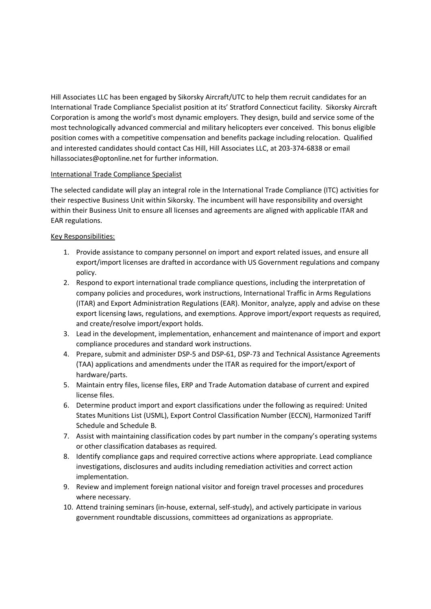Hill Associates LLC has been engaged by Sikorsky Aircraft/UTC to help them recruit candidates for an International Trade Compliance Specialist position at its' Stratford Connecticut facility. Sikorsky Aircraft Corporation is among the world's most dynamic employers. They design, build and service some of the most technologically advanced commercial and military helicopters ever conceived. This bonus eligible position comes with a competitive compensation and benefits package including relocation. Qualified and interested candidates should contact Cas Hill, Hill Associates LLC, at 203-374-6838 or email hillassociates@optonline.net for further information.

## International Trade Compliance Specialist

The selected candidate will play an integral role in the International Trade Compliance (ITC) activities for their respective Business Unit within Sikorsky. The incumbent will have responsibility and oversight within their Business Unit to ensure all licenses and agreements are aligned with applicable ITAR and EAR regulations.

## Key Responsibilities:

- 1. Provide assistance to company personnel on import and export related issues, and ensure all export/import licenses are drafted in accordance with US Government regulations and company policy.
- 2. Respond to export international trade compliance questions, including the interpretation of company policies and procedures, work instructions, International Traffic in Arms Regulations (ITAR) and Export Administration Regulations (EAR). Monitor, analyze, apply and advise on these export licensing laws, regulations, and exemptions. Approve import/export requests as required, and create/resolve import/export holds.
- 3. Lead in the development, implementation, enhancement and maintenance of import and export compliance procedures and standard work instructions.
- 4. Prepare, submit and administer DSP-5 and DSP-61, DSP-73 and Technical Assistance Agreements (TAA) applications and amendments under the ITAR as required for the import/export of hardware/parts.
- 5. Maintain entry files, license files, ERP and Trade Automation database of current and expired license files.
- 6. Determine product import and export classifications under the following as required: United States Munitions List (USML), Export Control Classification Number (ECCN), Harmonized Tariff Schedule and Schedule B.
- 7. Assist with maintaining classification codes by part number in the company's operating systems or other classification databases as required.
- 8. Identify compliance gaps and required corrective actions where appropriate. Lead compliance investigations, disclosures and audits including remediation activities and correct action implementation.
- 9. Review and implement foreign national visitor and foreign travel processes and procedures where necessary.
- 10. Attend training seminars (in-house, external, self-study), and actively participate in various government roundtable discussions, committees ad organizations as appropriate.